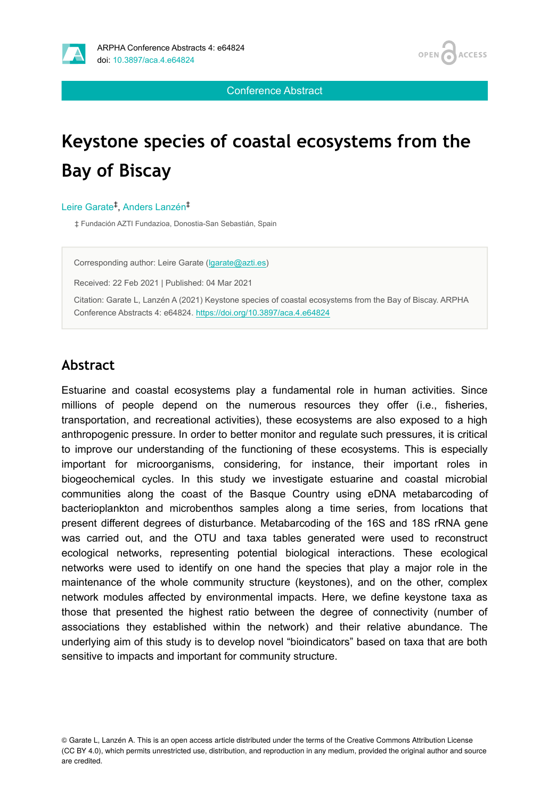



Conference Abstract

# **Keystone species of coastal ecosystems from the Bay of Biscay**

### Leire Garate<sup>‡</sup>, Anders Lanzén<sup>‡</sup>

‡ Fundación AZTI Fundazioa, Donostia-San Sebastián, Spain

Corresponding author: Leire Garate ([lgarate@azti.es](mailto:lgarate@azti.es))

Received: 22 Feb 2021 | Published: 04 Mar 2021

Citation: Garate L, Lanzén A (2021) Keystone species of coastal ecosystems from the Bay of Biscay. ARPHA Conference Abstracts 4: e64824. <https://doi.org/10.3897/aca.4.e64824>

## **Abstract**

Estuarine and coastal ecosystems play a fundamental role in human activities. Since millions of people depend on the numerous resources they offer (i.e., fisheries, transportation, and recreational activities), these ecosystems are also exposed to a high anthropogenic pressure. In order to better monitor and regulate such pressures, it is critical to improve our understanding of the functioning of these ecosystems. This is especially important for microorganisms, considering, for instance, their important roles in biogeochemical cycles. In this study we investigate estuarine and coastal microbial communities along the coast of the Basque Country using eDNA metabarcoding of bacterioplankton and microbenthos samples along a time series, from locations that present different degrees of disturbance. Metabarcoding of the 16S and 18S rRNA gene was carried out, and the OTU and taxa tables generated were used to reconstruct ecological networks, representing potential biological interactions. These ecological networks were used to identify on one hand the species that play a major role in the maintenance of the whole community structure (keystones), and on the other, complex network modules affected by environmental impacts. Here, we define keystone taxa as those that presented the highest ratio between the degree of connectivity (number of associations they established within the network) and their relative abundance. The underlying aim of this study is to develop novel "bioindicators" based on taxa that are both sensitive to impacts and important for community structure.

© Garate L, Lanzén A. This is an open access article distributed under the terms of the Creative Commons Attribution License (CC BY 4.0), which permits unrestricted use, distribution, and reproduction in any medium, provided the original author and source are credited.